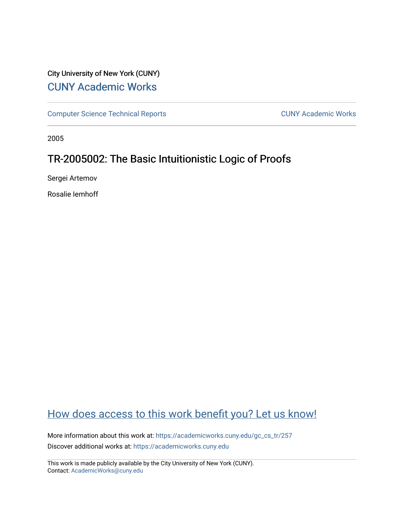# City University of New York (CUNY) [CUNY Academic Works](https://academicworks.cuny.edu/)

[Computer Science Technical Reports](https://academicworks.cuny.edu/gc_cs_tr) **CUNY Academic Works** CUNY Academic Works

2005

# TR-2005002: The Basic Intuitionistic Logic of Proofs

Sergei Artemov

Rosalie Iemhoff

# [How does access to this work benefit you? Let us know!](http://ols.cuny.edu/academicworks/?ref=https://academicworks.cuny.edu/gc_cs_tr/257)

More information about this work at: https://academicworks.cuny.edu/gc\_cs\_tr/257 Discover additional works at: [https://academicworks.cuny.edu](https://academicworks.cuny.edu/?)

This work is made publicly available by the City University of New York (CUNY). Contact: [AcademicWorks@cuny.edu](mailto:AcademicWorks@cuny.edu)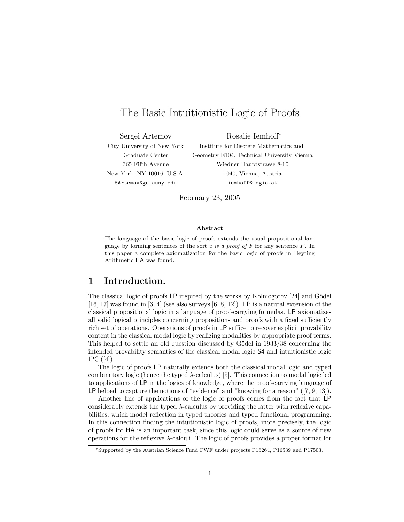# The Basic Intuitionistic Logic of Proofs

Sergei Artemov Rosalie Iemhoff<sup>∗</sup> SArtemov@gc.cuny.edu iemhoff@logic.at

City University of New York Institute for Discrete Mathematics and Graduate Center Geometry E104, Technical University Vienna 365 Fifth Avenue Wiedner Hauptstrasse 8-10 New York, NY 10016, U.S.A. 1040, Vienna, Austria

February 23, 2005

#### Abstract

The language of the basic logic of proofs extends the usual propositional language by forming sentences of the sort x is a proof of  $F$  for any sentence  $F$ . In this paper a complete axiomatization for the basic logic of proofs in Heyting Arithmetic HA was found.

# 1 Introduction.

The classical logic of proofs  $LP$  inspired by the works by Kolmogorov [24] and Gödel  $[16, 17]$  was found in  $[3, 4]$  (see also surveys  $[6, 8, 12]$ ). LP is a natural extension of the classical propositional logic in a language of proof-carrying formulas. LP axiomatizes all valid logical principles concerning propositions and proofs with a fixed sufficiently rich set of operations. Operations of proofs in LP suffice to recover explicit provability content in the classical modal logic by realizing modalities by appropriate proof terms. This helped to settle an old question discussed by Gödel in  $1933/38$  concerning the intended provability semantics of the classical modal logic S4 and intuitionistic logic  $IPC (4).$ 

The logic of proofs LP naturally extends both the classical modal logic and typed combinatory logic (hence the typed  $\lambda$ -calculus) [5]. This connection to modal logic led to applications of LP in the logics of knowledge, where the proof-carrying language of LP helped to capture the notions of "evidence" and "knowing for a reason" ([7, 9, 13]).

Another line of applications of the logic of proofs comes from the fact that LP considerably extends the typed  $\lambda$ -calculus by providing the latter with reflexive capabilities, which model reflection in typed theories and typed functional programming. In this connection finding the intuitionistic logic of proofs, more precisely, the logic of proofs for HA is an important task, since this logic could serve as a source of new operations for the reflexive  $\lambda$ -calculi. The logic of proofs provides a proper format for

<sup>∗</sup>Supported by the Austrian Science Fund FWF under projects P16264, P16539 and P17503.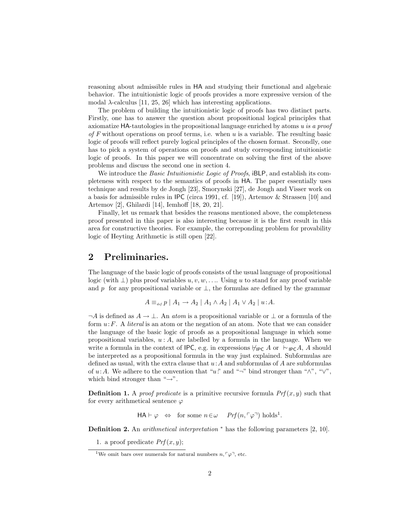reasoning about admissible rules in HA and studying their functional and algebraic behavior. The intuitionistic logic of proofs provides a more expressive version of the modal  $\lambda$ -calculus [11, 25, 26] which has interesting applications.

The problem of building the intuitionistic logic of proofs has two distinct parts. Firstly, one has to answer the question about propositional logical principles that axiomatize HA-tautologies in the propositional language enriched by atoms u is a proof of F without operations on proof terms, i.e. when  $u$  is a variable. The resulting basic logic of proofs will reflect purely logical principles of the chosen format. Secondly, one has to pick a system of operations on proofs and study corresponding intuitionistic logic of proofs. In this paper we will concentrate on solving the first of the above problems and discuss the second one in section 4.

We introduce the *Basic Intuitionistic Logic of Proofs*, iBLP, and establish its completeness with respect to the semantics of proofs in HA. The paper essentially uses technique and results by de Jongh [23], Smorynski [27], de Jongh and Visser work on a basis for admissible rules in IPC (circa 1991, cf. [19]), Artemov & Strassen [10] and Artemov [2], Ghilardi [14], Iemhoff [18, 20, 21].

Finally, let us remark that besides the reasons mentioned above, the completeness proof presented in this paper is also interesting because it is the first result in this area for constructive theories. For example, the correponding problem for provability logic of Heyting Arithmetic is still open [22].

## 2 Preliminaries.

The language of the basic logic of proofs consists of the usual language of propositional logic (with  $\perp$ ) plus proof variables  $u, v, w, \ldots$ . Using u to stand for any proof variable and p for any propositional variable or  $\perp$ , the formulas are defined by the grammar

$$
A \equiv_{\text{def}} p \mid A_1 \to A_2 \mid A_1 \wedge A_2 \mid A_1 \vee A_2 \mid u:A.
$$

 $\neg A$  is defined as  $A \to \bot$ . An atom is a propositional variable or  $\bot$  or a formula of the form  $u: F$ . A *literal* is an atom or the negation of an atom. Note that we can consider the language of the basic logic of proofs as a propositional language in which some propositional variables,  $u : A$ , are labelled by a formula in the language. When we write a formula in the context of IPC, e.g. in expressions  $\nvdash_{\mathsf{IPC}} A$  or  $\vdash_{\mathsf{IPC}} A$ , A should be interpreted as a propositional formula in the way just explained. Subformulas are defined as usual, with the extra clause that  $u:A$  and subformulas of A are subformulas of u:A. We adhere to the convention that "u" and "¬" bind stronger than " $\wedge$ ", " $\vee$ ", which bind stronger than " $\rightarrow$ ".

**Definition 1.** A *proof predicate* is a primitive recursive formula  $Prf(x, y)$  such that for every arithmetical sentence  $\varphi$ 

$$
\mathsf{HA} \vdash \varphi \; \Leftrightarrow \; \text{ for some } n \in \omega \quad \mathit{Prf}(n, \ulcorner \varphi \urcorner) \; \text{holds}^1.
$$

Definition 2. An *arithmetical interpretation* <sup>∗</sup> has the following parameters [2, 10].

1. a proof predicate  $Prf(x, y)$ ;

<sup>&</sup>lt;sup>1</sup>We omit bars over numerals for natural numbers  $n, \lceil \varphi \rceil$ , etc.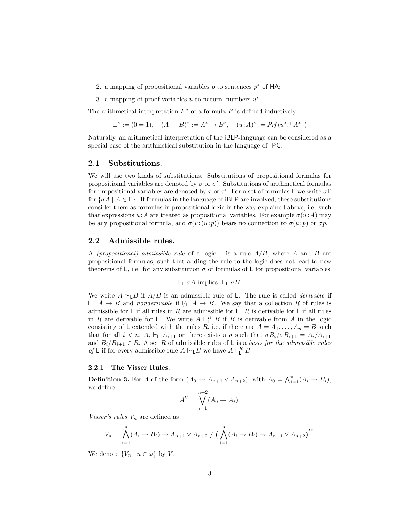2. a mapping of propositional variables  $p$  to sentences  $p^*$  of HA;

3. a mapping of proof variables  $u$  to natural numbers  $u^*$ .

The arithmetical interpretation  $F^*$  of a formula  $F$  is defined inductively

$$
\perp^* := (0 = 1), \quad (A \to B)^* := A^* \to B^*, \quad (u : A)^* := Prf(u^*, \ulcorner A^{*} \urcorner)
$$

Naturally, an arithmetical interpretation of the iBLP-language can be considered as a special case of the arithmetical substitution in the language of IPC.

#### 2.1 Substitutions.

We will use two kinds of substitutions. Substitutions of propositional formulas for propositional variables are denoted by  $\sigma$  or  $\sigma'$ . Substitutions of arithmetical formulas for propositional variables are denoted by  $\tau$  or  $\tau'$ . For a set of formulas  $\Gamma$  we write  $\sigma \Gamma$ for  $\{\sigma A \mid A \in \Gamma\}$ . If formulas in the language of iBLP are involved, these substitutions consider them as formulas in propositional logic in the way explained above, i.e. such that expressions  $u:A$  are treated as propositional variables. For example  $\sigma(u:A)$  may be any propositional formula, and  $\sigma(v:(u:p))$  bears no connection to  $\sigma(u:p)$  or  $\sigma p$ .

#### 2.2 Admissible rules.

A *(propositional)* admissible rule of a logic L is a rule  $A/B$ , where A and B are propositional formulas, such that adding the rule to the logic does not lead to new theorems of L, i.e. for any substitution  $\sigma$  of formulas of L for propositional variables

$$
\vdash_{\mathsf{L}} \sigma A \text{ implies } \vdash_{\mathsf{L}} \sigma B.
$$

We write  $A \vdash_L B$  if  $A/B$  is an admissible rule of L. The rule is called *derivable* if  $\vdash_L A \to B$  and nonderivable if  $\nvdash_L A \to B$ . We say that a collection R of rules is admissible for  $L$  if all rules in  $R$  are admissible for  $L$ .  $R$  is derivable for  $L$  if all rules in R are derivable for L. We write  $A \vdash^R_{\mathsf{L}} B$  if B is derivable from A in the logic consisting of L extended with the rules R, i.e. if there are  $A = A_1, \ldots, A_n = B$  such that for all  $i < n$ ,  $A_i \vdash_L A_{i+1}$  or there exists a  $\sigma$  such that  $\sigma B_i/\sigma B_{i+1} = A_i/A_{i+1}$ and  $B_i/B_{i+1} \in R$ . A set R of admissible rules of L is a basis for the admissible rules *of* **L** if for every admissible rule  $A \vdash_{\mathsf{L}} B$  we have  $A \vdash_{\mathsf{L}}^R B$ .

#### 2.2.1 The Visser Rules.

**Definition 3.** For A of the form  $(A_0 \to A_{n+1} \lor A_{n+2})$ , with  $A_0 = \bigwedge_{i=1}^n (A_i \to B_i)$ , we define

$$
A^V = \bigvee_{i=1}^{n+2} (A_0 \to A_i).
$$

Visser's rules  $V_n$  are defined as

$$
V_n \qquad \bigwedge_{i=1}^n (A_i \to B_i) \to A_{n+1} \vee A_{n+2} / \Big( \bigwedge_{i=1}^n (A_i \to B_i) \to A_{n+1} \vee A_{n+2} \Big)^V.
$$

We denote  $\{V_n \mid n \in \omega\}$  by V.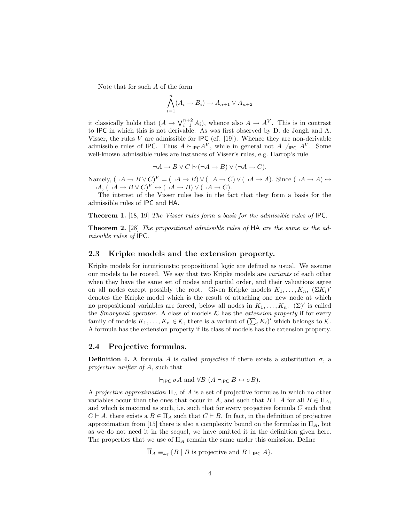Note that for such A of the form

$$
\bigwedge_{i=1}^{n} (A_i \to B_i) \to A_{n+1} \vee A_{n+2}
$$

it classically holds that  $(A \to \bigvee_{i=1}^{n+2} A_i)$ , whence also  $A \to A^V$ . This is in contrast to IPC in which this is not derivable. As was first observed by D. de Jongh and A. Visser, the rules V are admissible for  $\text{IPC}$  (cf. [19]). Whence they are non-derivable admissible rules of IPC. Thus  $A \vdash_{\mathsf{IPC}} A^V$ , while in general not  $A \not\models_{\mathsf{IPC}} A^V$ . Some well-known admissible rules are instances of Visser's rules, e.g. Harrop's rule

$$
\neg A \to B \lor C \vdash (\neg A \to B) \lor (\neg A \to C).
$$

Namely,  $(\neg A \rightarrow B \lor C)^V = (\neg A \rightarrow B) \lor (\neg A \rightarrow C) \lor (\neg A \rightarrow A)$ . Since  $(\neg A \rightarrow A) \leftrightarrow$  $\neg\neg A, (\neg A \rightarrow B \vee C)^V \leftrightarrow (\neg A \rightarrow B) \vee (\neg A \rightarrow C).$ 

The interest of the Visser rules lies in the fact that they form a basis for the admissible rules of IPC and HA.

**Theorem 1.** [18, 19] The Visser rules form a basis for the admissible rules of IPC.

Theorem 2. [28] The propositional admissible rules of HA are the same as the admissible rules of IPC.

#### 2.3 Kripke models and the extension property.

Kripke models for intuitionistic propositional logic are defined as usual. We assume our models to be rooted. We say that two Kripke models are variants of each other when they have the same set of nodes and partial order, and their valuations agree on all nodes except possibly the root. Given Kripke models  $K_1, \ldots, K_n$ ,  $(\Sigma K_i)'$ denotes the Kripke model which is the result of attaching one new node at which no propositional variables are forced, below all nodes in  $K_1, \ldots, K_n$ . ( $\Sigma$ )' is called the Smorynski operator. A class of models  $K$  has the extension property if for every the *Smorynski operator*. A class of models  $\kappa$  has the *extension property* if for every family of models  $K_1, \ldots, K_n \in \mathcal{K}$ , there is a variant of  $(\sum_i K_i)'$  which belongs to  $\mathcal{K}$ . A formula has the extension property if its class of models has the extension property.

#### 2.4 Projective formulas.

**Definition 4.** A formula A is called *projective* if there exists a substitution  $\sigma$ , a projective unifier of A, such that

$$
\vdash_{\mathsf{IPC}} \sigma A \text{ and } \forall B \ (A \vdash_{\mathsf{IPC}} B \leftrightarrow \sigma B).
$$

A projective approximation  $\Pi_A$  of A is a set of projective formulas in which no other variables occur than the ones that occur in A, and such that  $B \vdash A$  for all  $B \in \Pi_A$ , and which is maximal as such, i.e. such that for every projective formula  $C$  such that  $C \vdash A$ , there exists a  $B \in \Pi_A$  such that  $C \vdash B$ . In fact, in the definition of projective approximation from [15] there is also a complexity bound on the formulas in  $\Pi_A$ , but as we do not need it in the sequel, we have omitted it in the definition given here. The properties that we use of  $\Pi_A$  remain the same under this omission. Define

 $\overline{\Pi}_A \equiv_{def} \{B \mid B \text{ is projective and } B \vdash_{\mathsf{IPC}} A\}.$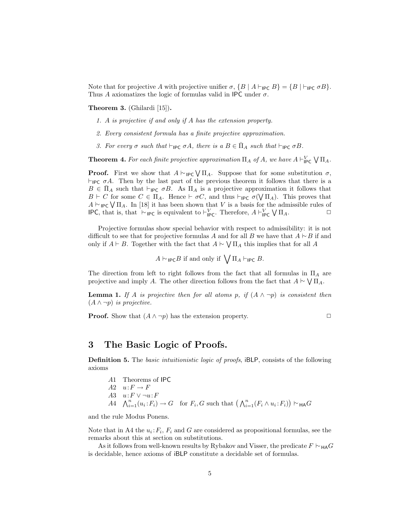Note that for projective A with projective unifier  $\sigma$ ,  $\{B \mid A \vdash_{\mathsf{IPC}} B\} = \{B \mid \vdash_{\mathsf{IPC}} \sigma B\}.$ Thus A axiomatizes the logic of formulas valid in IPC under  $\sigma$ .

Theorem 3. (Ghilardi [15]).

- 1. A is projective if and only if A has the extension property.
- 2. Every consistent formula has a finite projective approximation.
- 3. For every  $\sigma$  such that  $\vdash_{\mathsf{IPC}} \sigma A$ , there is a  $B \in \overline{\Pi}_A$  such that  $\vdash_{\mathsf{IPC}} \sigma B$ .

**Theorem 4.** For each finite projective approximation  $\Pi_A$  of A, we have  $A \vdash^V_{\mathsf{IPC}}$  $\sqrt{\Pi_A}$ .

**Proof.** First we show that  $A \vdash_{\mathsf{IPC}} \bigvee \Pi_A$ . Suppose that for some substitution  $\sigma$ ,  $\vdash_{\mathsf{IPC}} \sigma A$ . Then by the last part of the previous theorem it follows that there is a  $B \in \overline{\Pi}_A$  such that  $\vdash_{\mathsf{IPC}} \sigma B$ . As  $\Pi_A$  is a projective approximation it follows that  $B \vdash C$  for some  $C \in \Pi_A$ . Hence  $\vdash \sigma C$ , and thus  $\vdash_{\mathsf{IPC}} \sigma(\bigvee \Pi_A)$ . This proves that  $A \vdash_{\mathsf{IPC}} \bigvee \Pi_A$ . In [18] it has been shown that V is a basis for the admissible rules of  $A \vdash_{\mathsf{IPC}} \bigvee \Pi_A$ . In [18] it has been shown that V is a basis for the admissible rules of IPC, that is, that  $\vdash_{\mathsf{IPC}}$  is equivalent to  $\vdash_{\mathsf{IPC}}^V$ . Therefore,  $A \vdash_{\mathsf{IPC}}^V$ e admissible rules of  $\bigvee \Pi_A$ .

Projective formulas show special behavior with respect to admissibility: it is not difficult to see that for projective formulas A and for all B we have that  $A \vdash B$  if and only if  $A \vdash B$ . Together with the fact that  $A \vdash \bigvee \Pi_A$  this implies that for all A

 $A \vdash_{\mathsf{IPC}} B$  if and only if  $\bigvee \Pi_A \vdash_{\mathsf{IPC}} B$ .

The direction from left to right follows from the fact that all formulas in  $\Pi_A$  are projective and imply A. The other direction follows from the fact that  $A \vdash \bigvee \Pi_A$ .

**Lemma 1.** If A is projective then for all atoms p, if  $(A \wedge \neg p)$  is consistent then  $(A \wedge \neg p)$  is projective.

**Proof.** Show that  $(A \land \neg p)$  has the extension property.

$$
\qquad \qquad \Box
$$

### 3 The Basic Logic of Proofs.

Definition 5. The basic intuitionistic logic of proofs, iBLP, consists of the following axioms

A1 Theorems of IPC  $A2 \quad u: F \to F$ A3  $u: F \vee \neg u: F$ A3  $u: F \vee \neg u: F$ <br>  $A4 \wedge_{i=1}^{n} (u_i: F_i) \rightarrow G$  for  $F_i, G$  such that  $(\bigwedge_{i=1}^{n} (F_i \wedge u_i: F_i))$ ¢  $\vdash_{\mathsf{HA}} G$ 

and the rule Modus Ponens.

Note that in A4 the  $u_i$ :  $F_i$ ,  $F_i$  and G are considered as propositional formulas, see the remarks about this at section on substitutions.

As it follows from well-known results by Rybakov and Visser, the predicate  $F \vdash_{\mathsf{HA}} G$ is decidable, hence axioms of iBLP constitute a decidable set of formulas.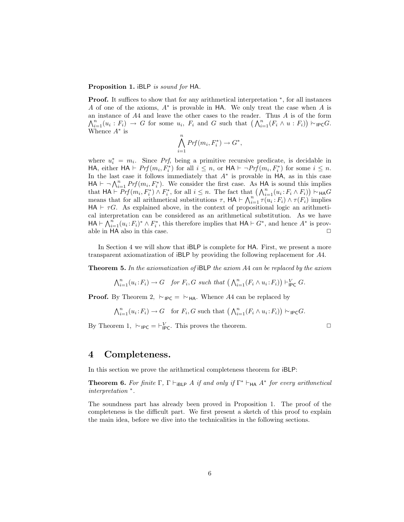#### Proposition 1. iBLP is sound for HA.

Proof. It suffices to show that for any arithmetical interpretation  $*$ , for all instances A of one of the axioms,  $A^*$  is provable in HA. We only treat the case when A is an instance of A4 and leave the other cases to the reader. Thus A is of the form an instance or A4 and leave the other cases to the reader. Thus A is of the form  $\bigwedge_{i=1}^n (u_i : F_i) \to G$  for some  $u_i$ ,  $F_i$  and G such that  $\bigwedge_{i=1}^n (F_i \wedge u : F_i)\big) \vdash_{\mathsf{IPC}} G$ . Whence  $A^*$  is

$$
\bigwedge_{i=1}^{n} Prf(m_i, F_i^*) \to G^*,
$$

where  $u_i^* = m_i$ . Since Prf, being a primitive recursive predicate, is decidable in HA, either  $HA \vdash Prf(m_i, F_i^*)$  for all  $i \leq n$ , or  $HA \vdash \neg Prf(m_i, F_i^*)$  for some  $i \leq n$ . In the last case it follows immediately that A<sup>∗</sup> is provable in HA, as in this case In the last case it follows immediately that A is provable in HA, as in this case<br>HA  $\vdash \neg \bigwedge_{i=1}^{n} Prf(m_i, F_i^*)$ . We consider the first case. As HA is sound this implies  $H$ A  $\vdash \neg \bigwedge_{i=1}^r PT(m_i, F_i)$ . We consider the first case. As  $H$ A is sound this implies<br>that  $H$ A  $\vdash Prf(m_i, F_i^*) \wedge F_i^*$ , for all  $i \leq n$ . The fact that  $\bigwedge_{i=1}^n (u_i : F_i \wedge F_i)\big) \vdash_{H} G$ that  $\mathsf{H}\mathsf{A} \vdash \mathsf{FT}_J(m_i, \mathsf{r}_i) \land \mathsf{r}_i$ , for all  $i \leq n$ . The fact that  $(\bigwedge_{i=1}^n (\bigvee_{i=1}^n \mathsf{r}_i \land \mathsf{r}_i)) \land \mathsf{H}\mathsf{A}\mathsf{G}$ <br>means that for all arithmetical substitutions  $\tau$ ,  $\mathsf{H}\mathsf{A} \vdash \bigwedge_{i=1}^n \tau$  $HA \vdash \tau G$ . As explained above, in the context of propositional logic an arithmetical interpretation can be considered as an arithmetical substitution. As we have can interpretation can be considered as an arithmetical substitution. As we have that  $HA \vdash \bigwedge_{i=1}^n (u_i : F_i)^* \wedge F_i^*$ , this therefore implies that  $HA \vdash G^*$ , and hence  $A^*$  is provable in HA also in this case.  $\Box$ 

In Section 4 we will show that iBLP is complete for HA. First, we present a more transparent axiomatization of iBLP by providing the following replacement for A4.

**Theorem 5.** In the axiomatization of iBLP the axiom  $A4$  can be replaced by the axiom

$$
\bigwedge_{i=1}^{n} (u_i \colon F_i) \to G \quad \text{for } F_i, G \text{ such that } \bigwedge_{i=1}^{n} (F_i \wedge u_i \colon F_i)\big) \vdash_{\mathsf{IPC}}^V G.
$$

**Proof.** By Theorem 2,  $\vdash_{\mathsf{IPC}} = \vdash_{\mathsf{HA}}$ . Whence A4 can be replaced by

$$
\bigwedge_{i=1}^{n} (u_i \colon F_i) \to G \quad \text{for } F_i, G \text{ such that } \left(\bigwedge_{i=1}^{n} (F_i \wedge u_i \colon F_i)\right) \vdash_{\mathsf{IPC}} G.
$$

By Theorem 1,  $\vdash_{\mathsf{IPC}} = \vdash_{\mathsf{IPC}}^V$ . This proves the theorem.  $\Box$ 

### 4 Completeness.

In this section we prove the arithmetical completeness theorem for iBLP:

**Theorem 6.** For finite  $\Gamma$ ,  $\Gamma \vdash_{\mathsf{iBLP}} A$  if and only if  $\Gamma^* \vdash_{\mathsf{HA}} A^*$  for every arithmetical interpretation <sup>∗</sup> .

The soundness part has already been proved in Proposition 1. The proof of the completeness is the difficult part. We first present a sketch of this proof to explain the main idea, before we dive into the technicalities in the following sections.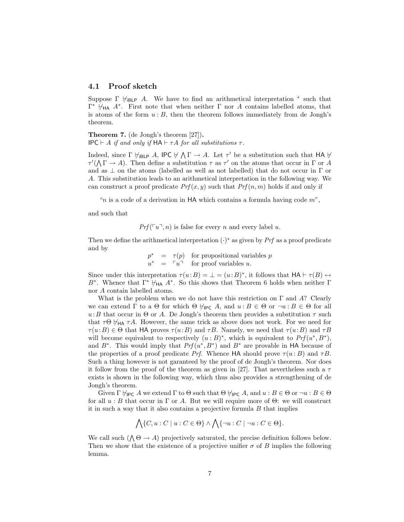#### 4.1 Proof sketch

Suppose  $\Gamma \not\vdash_{\mathsf{iBLP}} A$ . We have to find an arithmetical interpretation  $*$  such that  $\Gamma^*$   $\forall$ <sub>HA</sub> A<sup>\*</sup>. First note that when neither Γ nor A contains labelled atoms, that is atoms of the form  $u : B$ , then the theorem follows immediately from de Jongh's theorem.

Theorem 7. (de Jongh's theorem [27]). IPC  $\vdash$  A if and only if  $HA \vdash \tau A$  for all substitutions  $\tau$ .

Indeed, since  $\Gamma \not\models_{\mathsf{IBLP}} A$ , IPC  $\nvdash \bigwedge \Gamma \to A$ . Let  $\tau'$  be a substitution such that HA  $\nvdash$  $\tau'(\Lambda \Gamma \to A)$ . Then define a substitution  $\tau$  as  $\tau'$  on the atoms that occur in  $\Gamma$  or A and as  $\perp$  on the atoms (labelled as well as not labelled) that do not occur in  $\Gamma$  or A. This substitution leads to an arithmetical interpretation in the following way. We can construct a proof predicate  $Prf(x, y)$  such that  $Prf(n, m)$  holds if and only if

"n is a code of a derivation in  $HA$  which contains a formula having code  $m$ ",

and such that

 $Prf(\lceil u \rceil, n)$  is false for every n and every label u.

Then we define the arithmetical interpretation  $(\cdot)^*$  as given by Prf as a proof predicate and by

> $p^* = \tau(p)$  for propositional variables p  $u^* = \lceil u \rceil$  for proof variables u.

Since under this interpretation  $\tau(u:B) = \bot = (u:B)^*$ , it follows that  $HA \vdash \tau(B) \leftrightarrow$ B<sup>\*</sup>. Whence that  $\Gamma^* \not\models_{\mathsf{HA}} A^*$ . So this shows that Theorem 6 holds when neither  $\Gamma$ nor A contain labelled atoms.

What is the problem when we do not have this restriction on  $\Gamma$  and A? Clearly we can extend  $\Gamma$  to a  $\Theta$  for which  $\Theta \not\models_{\mathsf{IPC}} A$ , and  $u : B \in \Theta$  or  $\neg u : B \in \Theta$  for all u:B that occur in  $\Theta$  or A. De Jongh's theorem then provides a substitution  $\tau$  such that  $\tau\Theta \not\vdash_{HA} \tau A$ . However, the same trick as above does not work. For we need for  $\tau(u:B) \in \Theta$  that HA proves  $\tau(u:B)$  and  $\tau B$ . Namely, we need that  $\tau(u:B)$  and  $\tau B$ will become equivalent to respectively  $(u : B)^*$ , which is equivalent to  $Prf(u^*, B^*)$ , and  $B^*$ . This would imply that  $Prf(u^*, B^*)$  and  $B^*$  are provable in HA because of the properties of a proof predicate Prf. Whence HA should prove  $\tau(u:B)$  and  $\tau B$ . Such a thing however is not garanteed by the proof of de Jongh's theorem. Nor does it follow from the proof of the theorem as given in [27]. That nevertheless such a  $\tau$ exists is shown in the following way, which thus also provides a strengthening of de Jongh's theorem.

Given  $\Gamma \not\models_{\mathsf{IPC}} A$  we extend  $\Gamma$  to  $\Theta$  such that  $\Theta \not\models_{\mathsf{IPC}} A$ , and  $u : B \in \Theta$  or  $\neg u : B \in \Theta$ for all  $u : B$  that occur in Γ or A. But we will require more of  $\Theta$ : we will construct it in such a way that it also contains a projective formula  $B$  that implies

$$
\bigwedge \{C, u : C \mid u : C \in \Theta\} \land \bigwedge \{\neg u : C \mid \neg u : C \in \Theta\}.
$$

We call such  $(\bigwedge \Theta \to A)$  projectively saturated, the precise definition follows below. Then we show that the existence of a projective unifier  $\sigma$  of B implies the following lemma.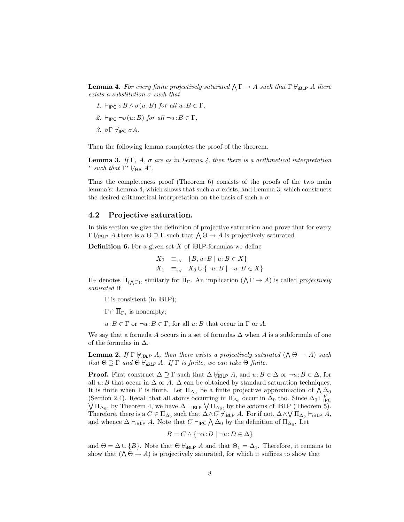**Lemma 4.** For every finite projectively saturated  $\bigwedge \Gamma \to A$  such that  $\Gamma \nvdash_{\text{iBLP}} A$  there exists a substitution  $\sigma$  such that

- 1.  $\vdash_{\mathsf{IPC}} \sigma B \wedge \sigma(u:B)$  for all  $u:B \in \Gamma$ ,
- 2.  $\vdash_{\mathsf{IPC}} \neg \sigma(u:B)$  for all  $\neg u:B \in \Gamma$ ,

3. σΓ $\forall$ IPC σ $A$ .

Then the following lemma completes the proof of the theorem.

**Lemma 3.** If Γ, A,  $\sigma$  are as in Lemma 4, then there is a arithmetical interpretation \* such that  $\Gamma^* \not\models_{\mathsf{HA}} A^*$ .

Thus the completeness proof (Theorem 6) consists of the proofs of the two main lemma's: Lemma 4, which shows that such a  $\sigma$  exists, and Lemma 3, which constructs the desired arithmetical interpretation on the basis of such a  $\sigma.$ 

#### 4.2 Projective saturation.

In this section we give the definition of projective saturation and prove that for every In this section we give the definition of projective saturation and prove the Γ  $\forall$ <sub>iBLP</sub> A there is a Θ ⊇ Γ such that  $\land$  Θ → A is projectively saturated.

**Definition 6.** For a given set  $X$  of iBLP-formulas we define

$$
X_0 =_{\text{def}} \{B, u : B \mid u : B \in X\}
$$
  

$$
X_1 =_{\text{def}} X_0 \cup \{\neg u : B \mid \neg u : B \in X\}
$$

 $\Pi_{\Gamma}$  denotes  $\Pi_{(\Lambda \Gamma)}$ , similarly for  $\Pi_{\Gamma}$ . An implication  $(\Lambda \Gamma \to A)$  is called *projectively* saturated if

Γ is consistent (in iBLP);

 $\Gamma \cap \overline{\Pi}_{\Gamma_1}$  is nonempty;

 $u:B \in \Gamma$  or  $\neg u:B \in \Gamma$ , for all  $u:B$  that occur in  $\Gamma$  or A.

We say that a formula A occurs in a set of formulas  $\Delta$  when A is a subformula of one of the formulas in  $\Delta$ .

**Lemma 2.** If  $\Gamma \nvdash_{i \text{BLP}} A$ , then there exists a projectively saturated  $(A \Theta \rightarrow A)$  such that  $\Theta \supseteq \Gamma$  and  $\Theta \not\models_{i \mathsf{BLP}} A$ . If  $\Gamma$  is finite, we can take  $\Theta$  finite.

**Proof.** First construct  $\Delta \supseteq \Gamma$  such that  $\Delta \nvdash_{i\mathsf{BLP}} A$ , and  $u:B \in \Delta$  or  $\neg u:B \in \Delta$ , for all  $u: B$  that occur in  $\Delta$  or A.  $\Delta$  can be obtained by standard saturation techniques. an *u*: *b* that occur in  $\Delta$  or *A*.  $\Delta$  can be obtained by standard saturation techniques.<br>It is finite when Γ is finite. Let  $\Pi_{\Delta_0}$  be a finite projective approximation of  $\Lambda_{\Delta_0}$ (Section 2.4). Recall that all atoms occurring in  $\Pi_{\Delta_0}$  occur in  $\Delta_0$  too. Since  $\Delta_0 \vdash_{\mathsf{IPC}}^V$ ection 2.4). Recall that all atoms occurring in  $\Pi_{\Delta_0}$  occur in  $\Delta_0$  too. Since  $\Delta_0 \sqcap_{\text{IPC}}$ <br>  $\Pi_{\Delta_0}$ , by Theorem 4, we have  $\Delta \vdash_{\text{IBLP}} \bigvee \Pi_{\Delta_0}$ , by the axioms of iBLP (Theorem 5). Therefore, there is a  $C \in \Pi_{\Delta_0}$  such that  $\Delta \wedge C \nvdash_{\mathsf{iBLP}} A$ . For if not,  $\Delta \wedge \bigvee \Pi_{\Delta_0} \vdash_{\mathsf{iBLP}} A$ , Therefore, there is a  $C \in \Pi_{\Delta_0}$  such that  $\Delta \wedge C$   $\eta_{\text{BLP}}$  A. For if not,  $\Delta \wedge \sqrt{\Pi_{\Delta_0}}$  and whence  $\Delta \vdash_{\text{IBLP}} A$ . Note that  $C \vdash_{\text{IPC}} \bigwedge \Delta_0$  by the definition of  $\Pi_{\Delta_0}$ . Let

$$
B = C \land \{ \neg u : D \mid \neg u : D \in \Delta \}
$$

and  $\Theta = \Delta \cup \{B\}$ . Note that  $\Theta \nvdash_{\mathsf{BLP}} A$  and that  $\Theta_1 = \Delta_1$ . Therefore, it remains to show that  $(\bigwedge \Theta \to A)$  is projectively saturated, for which it suffices to show that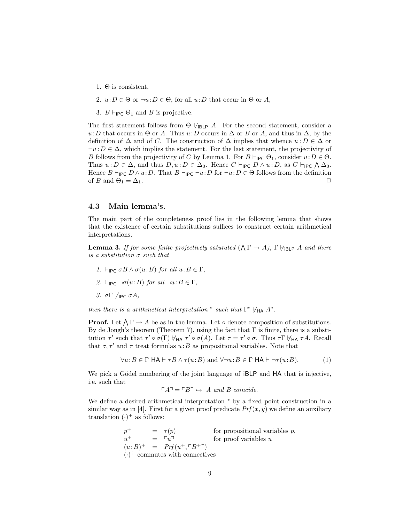- 1.  $\Theta$  is consistent,
- 2.  $u: D \in \Theta$  or  $\neg u: D \in \Theta$ , for all  $u: D$  that occur in  $\Theta$  or A,
- 3.  $B \vdash_{\mathsf{IPC}} \Theta_1$  and B is projective.

The first statement follows from  $\Theta \not\vdash_{iBLP} A$ . For the second statement, consider a u:D that occurs in  $\Theta$  or A. Thus u:D occurs in  $\Delta$  or B or A, and thus in  $\Delta$ , by the definition of  $\Delta$  and of C. The construction of  $\Delta$  implies that whence  $u : D \in \Delta$  or  $\neg u: D \in \Delta$ , which implies the statement. For the last statement, the projectivity of B follows from the projectivity of C by Lemma 1. For  $B \vdash_{\mathsf{IPC}} \Theta_1$ , consider  $u: D \in \Theta$ . B ionows from the projectivity of C by Lemma 1. For  $D \sqcap_{\textsf{PC}} \Theta_1$ , consider  $u : D \in \Theta$ .<br>Thus  $u : D \in \Delta$ , and thus  $D, u : D \in \Delta_0$ . Hence  $C \vdash_{\textsf{IPC}} D \wedge u : D$ , as  $C \vdash_{\textsf{IPC}} \bigwedge \Delta_0$ . Hence  $B \vdash_{\mathsf{IPC}} D \wedge u:D$ . That  $B \vdash_{\mathsf{IPC}} \neg u:D$  for  $\neg u:D \in \Theta$  follows from the definition of B and  $\Theta_1 = \Delta_1$ .

### 4.3 Main lemma's.

The main part of the completeness proof lies in the following lemma that shows that the existence of certain substitutions suffices to construct certain arithmetical interpretations.

**Lemma 3.** If for some finite projectively saturated  $(\bigwedge \Gamma \to A)$ ,  $\Gamma \nvdash_{i \text{BLP}} A$  and there is a substitution  $\sigma$  such that

- 1.  $\vdash_{\mathsf{IPC}} \sigma B \wedge \sigma(u:B)$  for all  $u:B \in \Gamma$ ,
- 2.  $\vdash_{\mathsf{IPC}} \neg \sigma(u:B)$  for all  $\neg u:B \in \Gamma$ ,
- 3. σΓ $H_{IPC}$  σ $A$ ,

then there is a arithmetical interpretation \* such that  $\Gamma^* \not\models_{\mathsf{HA}} A^*$ .

**Proof.** Let  $\bigwedge \Gamma \to A$  be as in the lemma. Let  $\circ$  denote composition of substitutions. By de Jongh's theorem (Theorem 7), using the fact that  $\Gamma$  is finite, there is a substitution  $\tau'$  such that  $\tau' \circ \sigma(\Gamma) \not\vdash_{HA} \tau' \circ \sigma(A)$ . Let  $\tau = \tau' \circ \sigma$ . Thus  $\tau \Gamma \not\vdash_{HA} \tau A$ . Recall that  $\sigma, \tau'$  and  $\tau$  treat formulas  $u:B$  as propositional variables. Note that

$$
\forall u \colon B \in \Gamma \text{ HA} \vdash \tau B \land \tau(u \colon B) \text{ and } \forall \neg u \colon B \in \Gamma \text{ HA} \vdash \neg \tau(u \colon B). \tag{1}
$$

We pick a Gödel numbering of the joint language of iBLP and HA that is injective, i.e. such that

$$
\ulcorner A \urcorner = \ulcorner B \urcorner \leftrightarrow A \text{ and } B \text{ coincide.}
$$

We define a desired arithmetical interpretation <sup>∗</sup> by a fixed point construction in a similar way as in [4]. First for a given proof predicate  $Prf(x, y)$  we define an auxiliary translation  $(\cdot)^+$  as follows:

> $p^+$  =  $\tau(p)$  for propositional variables p,  $u^+$  =  $\lceil u \rceil$  for proof variables u  $(u:B)^+ = Prf(u^+,\ulcorner B^{+\urcorner})$  $(\cdot)^+$  commutes with connectives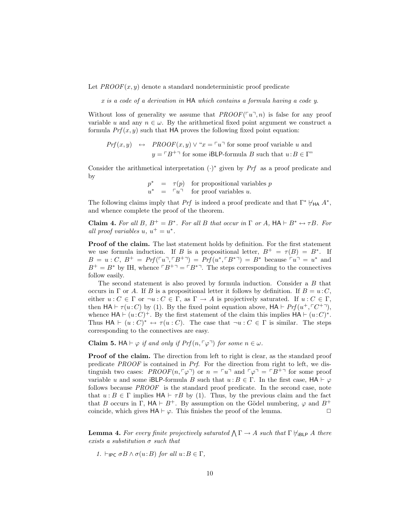Let  $PROOF(x, y)$  denote a standard nondeterministic proof predicate

x is a code of a derivation in HA which contains a formula having a code y.

Without loss of generality we assume that  $PROOF(\ulcorner u\urcorner, n)$  is false for any proof variable u and any  $n \in \omega$ . By the arithmetical fixed point argument we construct a formula  $Prf(x, y)$  such that HA proves the following fixed point equation:

$$
Prf(x, y) \leftrightarrow \text{PROOF}(x, y) \lor \text{``}x = \ulcorner u \urcorner \text{ for some proof variable } u \text{ and }
$$

$$
y = \ulcorner B^+ \urcorner \text{ for some iBLP-formula } B \text{ such that } u : B \in \Gamma \text{''}
$$

Consider the arithmetical interpretation  $(·)$ <sup>\*</sup> given by Prf as a proof predicate and by

$$
p^* = \tau(p) \text{ for propositional variables } p
$$
  

$$
u^* = \ulcorner u \urcorner \text{ for proof variables } u.
$$

The following claims imply that Prf is indeed a proof predicate and that  $\Gamma^* \not\models_{\mathsf{HA}} A^*$ , and whence complete the proof of the theorem.

**Claim 4.** For all B,  $B^+ = B^*$ . For all B that occur in  $\Gamma$  or A,  $HA \vdash B^* \leftrightarrow \tau B$ . For all proof variables  $u, u^+ = u^*$ .

Proof of the claim. The last statement holds by definition. For the first statement we use formula induction. If B is a propositional letter,  $B^+ = \tau(B) = B^*$ . If  $B = u : C, B^+ = Prf(\ulcorner u \urcorner, \ulcorner B^{+} \urcorner) = Prf(u^*, \ulcorner B^{*} \urcorner) = B^*$  because  $\ulcorner u \urcorner = u^*$  and  $B^+ = B^*$  by IH, whence  $\lceil B^{+} \rceil = \lceil B^{*} \rceil$ . The steps corresponding to the connectives follow easily.

The second statement is also proved by formula induction. Consider a B that occurs in  $\Gamma$  or A. If B is a propositional letter it follows by definition. If  $B = u \cdot C$ , either  $u: C \in \Gamma$  or  $\neg u: C \in \Gamma$ , as  $\Gamma \to A$  is projectively saturated. If  $u: C \in \Gamma$ , then  $HA \vdash \tau(u:C)$  by (1). By the fixed point equation above,  $HA \vdash Prf(u^+, \ulcorner C^{+}\urcorner),$ whence  $HA \vdash (u:C)^+$ . By the first statement of the claim this implies  $HA \vdash (u:C)^*$ . Thus  $HA \vdash (u : C)^* \leftrightarrow \tau(u : C)$ . The case that  $\neg u : C \in \Gamma$  is similar. The steps corresponding to the connectives are easy.

**Claim 5.** HA  $\vdash \varphi$  if and only if  $Prf(n, \lceil \varphi \rceil)$  for some  $n \in \omega$ .

Proof of the claim. The direction from left to right is clear, as the standard proof predicate PROOF is contained in Prf. For the direction from right to left, we distinguish two cases:  $PROOF(n, \lceil \varphi \rceil)$  or  $n = \lceil u \rceil$  and  $\lceil \varphi \rceil = \lceil B^{+} \rceil$  for some proof variable u and some iBLP-formula B such that  $u : B \in \Gamma$ . In the first case,  $HA \vdash \varphi$ follows because PROOF is the standard proof predicate. In the second case, note that  $u : B \in \Gamma$  implies  $HA \vdash \tau B$  by (1). Thus, by the previous claim and the fact that B occurs in  $\Gamma$ ,  $HA \vdash B^+$ . By assumption on the Gödel numbering,  $\varphi$  and  $B^+$ coincide, which gives  $HA \vdash \varphi$ . This finishes the proof of the lemma.

**Lemma 4.** For every finite projectively saturated  $\bigwedge \Gamma \to A$  such that  $\Gamma \not\models_{\mathsf{iBLP}} A$  there exists a substitution  $\sigma$  such that

1.  $\vdash_{\mathsf{IPC}} \sigma B \wedge \sigma(u:B)$  for all  $u:B \in \Gamma$ ,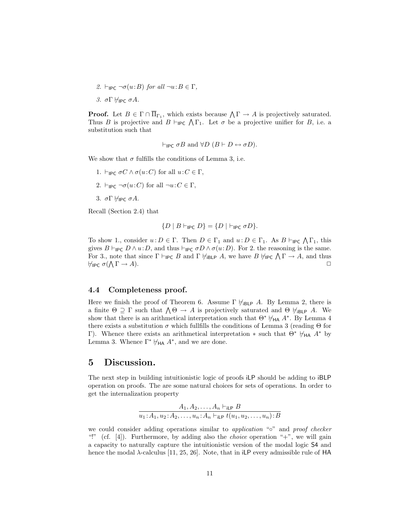- 2.  $\vdash_{\mathsf{IPC}} \neg \sigma(u:B)$  for all  $\neg u:B \in \Gamma$ ,
- 3. σΓ $H$ IPC σ $A$ .

**Proof.** Let  $B \in \Gamma \cap \overline{\Pi}_{\Gamma_1}$ , which exists because  $\bigwedge \Gamma \to A$  is projectively saturated. **Proof.** Let  $B \in I \cap \Pi_{\Gamma_1}$ , which exists because  $\Lambda I \to A$  is projectively saturated.<br>Thus B is projective and  $B \vdash_{\mathsf{IPC}} \Lambda \Gamma_1$ . Let  $\sigma$  be a projective unifier for B, i.e. a substitution such that

$$
\vdash_{\mathsf{IPC}} \sigma B \text{ and } \forall D \ (B \vdash D \leftrightarrow \sigma D).
$$

We show that  $\sigma$  fulfills the conditions of Lemma 3, i.e.

1.  $\vdash_{\mathsf{IPC}} \sigma C \wedge \sigma(u:C)$  for all  $u:C \in \Gamma$ , 2.  $\vdash_{\mathsf{IPC}} \neg \sigma(u:C)$  for all  $\neg u:C \in \Gamma$ , 3. σΓ $\forall$ IPC σ $A$ .

Recall (Section 2.4) that

$$
\{D \mid B \vdash_{\mathsf{IPC}} D\} = \{D \mid \vdash_{\mathsf{IPC}} \sigma D\}.
$$

To show 1., consider  $u : D \in \Gamma$ . Then  $D \in \Gamma_1$  and  $u : D \in \Gamma_1$ . As  $B \vdash_{\mathsf{IPC}} \bigwedge \Gamma_1$ , this gives  $B \vdash_{\mathsf{IPC}} D \wedge u:D$ , and thus  $\vdash_{\mathsf{IPC}} \sigma D \wedge \sigma(u:D)$ . For 2. the reasoning is the same. gives  $B \sqsubset_{\mathsf{IPC}} D \wedge u : D$ , and thus  $\sqsubset_{\mathsf{IPC}} C D \wedge o(u : D)$ . For 2. the reasoning is the same.<br>For 3., note that since  $\Gamma \vdash_{\mathsf{IPC}} B$  and  $\Gamma \not\models_{\mathsf{IBLP}} A$ , we have  $B \not\models_{\mathsf{IPC}} \bigwedge \Gamma \to A$ , and thus  $\forall_{\mathsf{IPC}} \; \sigma(\bigwedge \Gamma \to A).$ 

#### 4.4 Completeness proof.

Here we finish the proof of Theorem 6. Assume  $\Gamma \not\vdash_{iBLP} A$ . By Lemma 2, there is Here we finish the proof of Theorem 6. Assume T  $\pi_{iBLP}$  A. By Lemma 2, there is a finite Θ  $\supseteq$  Γ such that  $\bigwedge$  Θ → A is projectively saturated and Θ  $\vdash_{iBLP}$  A. We show that there is an arithmetical interpretation such that  $\Theta^* \not\vdash_{HA} A^*$ . By Lemma 4 there exists a substitution  $\sigma$  which fullfills the conditions of Lemma 3 (reading  $\Theta$  for Γ). Whence there exists an arithmetical interpretation  $*$  such that  $\Theta^* \nvdash_{HA} A^*$  by Lemma 3. Whence  $\Gamma^* \not\models_{\mathsf{HA}} A^*$ , and we are done.

## 5 Discussion.

The next step in building intuitionistic logic of proofs iLP should be adding to iBLP operation on proofs. The are some natural choices for sets of operations. In order to get the internalization property

$$
\frac{A_1, A_2, \dots, A_n \vdash_{\mathsf{iLP}} B}{u_1: A_1, u_2: A_2, \dots, u_n: A_n \vdash_{\mathsf{iLP}} t(u_1, u_2, \dots, u_n): B}
$$

we could consider adding operations similar to application "o" and proof checker "!" (cf. [4]). Furthermore, by adding also the *choice* operation " $+$ ", we will gain a capacity to naturally capture the intuitionistic version of the modal logic S4 and hence the modal  $\lambda$ -calculus [11, 25, 26]. Note, that in iLP every admissible rule of HA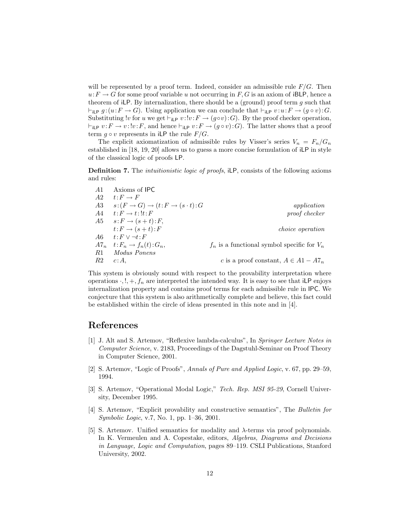will be represented by a proof term. Indeed, consider an admissible rule  $F/G$ . Then  $u: F \to G$  for some proof variable u not occurring in F, G is an axiom of iBLP, hence a theorem of iLP. By internalization, there should be a (ground) proof term  $q$  such that  $\vdash_{\mathsf{iLP}} g$  :  $(u:F \to G)$ . Using application we can conclude that  $\vdash_{\mathsf{iLP}} v : u:F \to (g \circ v):G$ . Substituting !v for u we get  $\vdash_{i\text{LP}} v : !v : F \to (g \circ v) : G$ . By the proof checker operation,  $\vdash_{\mathsf{iLP}} v : F \to v : !v : F$ , and hence  $\vdash_{\mathsf{iLP}} v : F \to (g \circ v) : G$ . The latter shows that a proof term  $g \circ v$  represents in iLP the rule  $F/G$ .

The explicit axiomatization of admissible rules by Visser's series  $V_n = F_n/G_n$ established in [18, 19, 20] allows us to guess a more concise formulation of iLP in style of the classical logic of proofs LP.

Definition 7. The *intuitionistic logic of proofs*, iLP, consists of the following axioms and rules:

|                                                 | Axioms of IPC                            | -A1 |
|-------------------------------------------------|------------------------------------------|-----|
|                                                 | $t: F \to F$                             | A2  |
| application                                     | $s:(F\to G)\to (t:F\to (s\cdot t):G)$    | A3  |
| proof checker                                   | $t: F \to t: \mathcal{F}: F$             | A4  |
|                                                 | $A5 \t s:F \rightarrow (s+t):F,$         |     |
| <i>choice operation</i>                         | $t: F \to (s+t): F$                      |     |
|                                                 | $t: F \vee \neg t: F$                    | A6  |
| $f_n$ is a functional symbol specific for $V_n$ | $A7_n \t:= F_n \rightarrow f_n(t): G_n,$ |     |
|                                                 | Modus Ponens                             | R1  |
| c is a proof constant, $A \in A1 - A7_n$        | $c:A$ .                                  | R2  |

This system is obviously sound with respect to the provability interpretation where operations  $\cdot, !, +, f_n$  are interpreted the intended way. It is easy to see that iLP enjoys internalization property and contains proof terms for each admissible rule in IPC. We conjecture that this system is also arithmetically complete and believe, this fact could be established within the circle of ideas presented in this note and in [4].

# References

- [1] J. Alt and S. Artemov, "Reflexive lambda-calculus", In Springer Lecture Notes in Computer Science, v. 2183, Proceedings of the Dagstuhl-Seminar on Proof Theory in Computer Science, 2001.
- [2] S. Artemov, "Logic of Proofs", Annals of Pure and Applied Logic, v. 67, pp. 29–59, 1994.
- [3] S. Artemov, "Operational Modal Logic," Tech. Rep. MSI 95-29, Cornell University, December 1995.
- [4] S. Artemov, "Explicit provability and constructive semantics", The Bulletin for Symbolic Logic, v.7, No. 1, pp. 1–36, 2001.
- [5] S. Artemov. Unified semantics for modality and λ-terms via proof polynomials. In K. Vermeulen and A. Copestake, editors, Algebras, Diagrams and Decisions in Language, Logic and Computation, pages 89–119. CSLI Publications, Stanford University, 2002.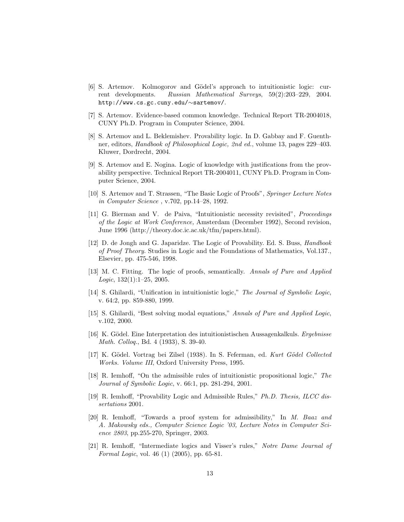- [6] S. Artemov. Kolmogorov and Gödel's approach to intuitionistic logic: current developments. Russian Mathematical Surveys, 59(2):203–229, 2004. http://www.cs.gc.cuny.edu/∼sartemov/.
- [7] S. Artemov. Evidence-based common knowledge. Technical Report TR-2004018, CUNY Ph.D. Program in Computer Science, 2004.
- [8] S. Artemov and L. Beklemishev. Provability logic. In D. Gabbay and F. Guenthner, editors, Handbook of Philosophical Logic, 2nd ed., volume 13, pages 229–403. Kluwer, Dordrecht, 2004.
- [9] S. Artemov and E. Nogina. Logic of knowledge with justifications from the provability perspective. Technical Report TR-2004011, CUNY Ph.D. Program in Computer Science, 2004.
- [10] S. Artemov and T. Strassen, "The Basic Logic of Proofs", Springer Lecture Notes in Computer Science , v.702, pp.14–28, 1992.
- [11] G. Bierman and V. de Paiva, "Intuitionistic necessity revisited", Proceedings of the Logic at Work Conference, Amsterdam (December 1992), Second revision, June 1996 (http://theory.doc.ic.ac.uk/tfm/papers.html).
- [12] D. de Jongh and G. Japaridze. The Logic of Provability. Ed. S. Buss, Handbook of Proof Theory. Studies in Logic and the Foundations of Mathematics, Vol.137., Elsevier, pp. 475-546, 1998.
- [13] M. C. Fitting. The logic of proofs, semantically. Annals of Pure and Applied Logic,  $132(1):1-25$ ,  $2005$ .
- [14] S. Ghilardi, "Unification in intuitionistic logic," The Journal of Symbolic Logic, v. 64:2, pp. 859-880, 1999.
- [15] S. Ghilardi, "Best solving modal equations," Annals of Pure and Applied Logic, v.102, 2000.
- [16] K. Gödel. Eine Interpretation des intuitionistischen Aussagenkalkuls. Ergebnisse Math. Colloq., Bd. 4 (1933), S. 39-40.
- [17] K. Gödel. Vortrag bei Zilsel (1938). In S. Feferman, ed. Kurt Gödel Collected Works. Volume III, Oxford University Press, 1995.
- [18] R. Iemhoff, "On the admissible rules of intuitionistic propositional logic," The Journal of Symbolic Logic, v. 66:1, pp. 281-294, 2001.
- [19] R. Iemhoff, "Provability Logic and Admissible Rules," Ph.D. Thesis, ILCC dissertations 2001.
- [20] R. Iemhoff, "Towards a proof system for admissibility," In M. Baaz and A. Makowsky eds., Computer Science Logic '03, Lecture Notes in Computer Science 2803, pp.255-270, Springer, 2003.
- [21] R. Iemhoff, "Intermediate logics and Visser's rules," Notre Dame Journal of Formal Logic, vol. 46 (1) (2005), pp. 65-81.